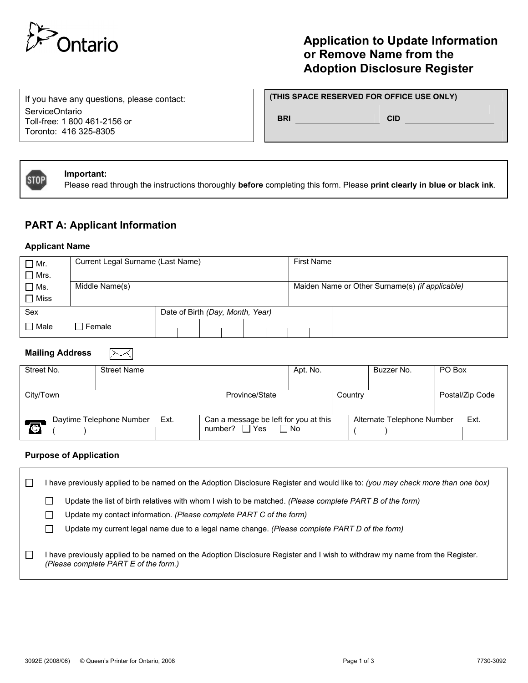

# **Application to Update Information or Remove Name from the Adoption Disclosure Register**

If you have any questions, please contact: ServiceOntario Toll-free: 1 800 461-2156 or Toronto: 416 325-8305

#### **(THIS SPACE RESERVED FOR OFFICE USE ONLY)**

**BRI CID CID** 



#### **Important:**

Please read through the instructions thoroughly **before** completing this form. Please **print clearly in blue or black ink**.

### **PART A: Applicant Information**

"≻∽≺

#### **Applicant Name**

| $\Box$ Mr.     | Current Legal Surname (Last Name) |  |  |                                                 | <b>First Name</b> |  |  |  |  |  |
|----------------|-----------------------------------|--|--|-------------------------------------------------|-------------------|--|--|--|--|--|
| $\Box$ Mrs.    |                                   |  |  |                                                 |                   |  |  |  |  |  |
| $\square$ Ms.  | Middle Name(s)                    |  |  | Maiden Name or Other Surname(s) (if applicable) |                   |  |  |  |  |  |
| $\Box$ Miss    |                                   |  |  |                                                 |                   |  |  |  |  |  |
| Sex            | Date of Birth (Day, Month, Year)  |  |  |                                                 |                   |  |  |  |  |  |
| $\square$ Male | Female                            |  |  |                                                 |                   |  |  |  |  |  |

### **Mailing Address**

| Street No.                                 | <b>Street Name</b> |                                                    | Apt. No. |                            | Buzzer No. | PO Box          |
|--------------------------------------------|--------------------|----------------------------------------------------|----------|----------------------------|------------|-----------------|
| City/Town                                  |                    | Province/State                                     |          | Country                    |            | Postal/Zip Code |
| Daytime Telephone Number<br>$\blacksquare$ | number? $\Box$ Yes | Can a message be left for you at this<br>$\Box$ No |          | Alternate Telephone Number | Ext.       |                 |

#### **Purpose of Application**

| $\mathbf{I}$ | have previously applied to be named on the Adoption Disclosure Register and would like to: (you may check more than one box) |                                                                                                                                                                                                                                                                       |  |  |  |  |
|--------------|------------------------------------------------------------------------------------------------------------------------------|-----------------------------------------------------------------------------------------------------------------------------------------------------------------------------------------------------------------------------------------------------------------------|--|--|--|--|
|              |                                                                                                                              | Update the list of birth relatives with whom I wish to be matched. (Please complete PART B of the form)<br>Update my contact information. (Please complete PART C of the form)                                                                                        |  |  |  |  |
| $\Box$       |                                                                                                                              | Update my current legal name due to a legal name change. (Please complete PART D of the form)<br>I have previously applied to be named on the Adoption Disclosure Register and I wish to withdraw my name from the Register.<br>(Please complete PART E of the form.) |  |  |  |  |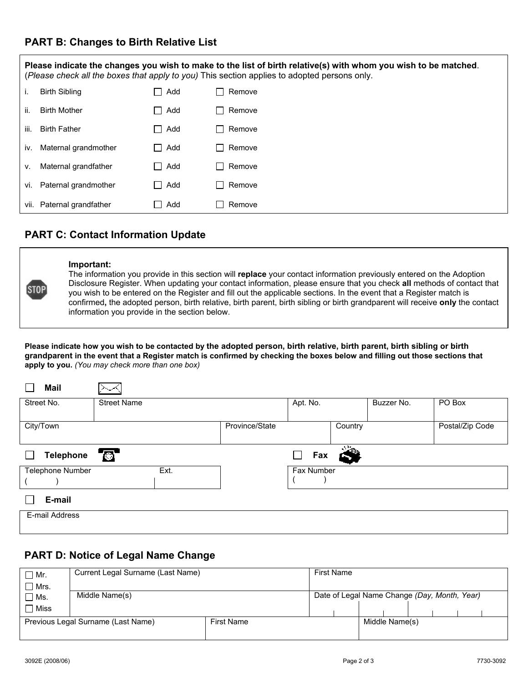## **PART B: Changes to Birth Relative List**

**Please indicate the changes you wish to make to the list of birth relative(s) with whom you wish to be matched**. (*Please check all the boxes that apply to you)* This section applies to adopted persons only. i. Birth Sibling  $\Box$  Add  $\Box$  Remove ii. Birth Mother **Add** Remove iii. Birth Father **Add** Remove iv. Maternal grandmother  $\Box$  Add  $\Box$  Remove v. Maternal grandfather  $\Box$  Add  $\Box$  Remove vi. Paternal grandmother  $\Box$  Add  $\Box$  Remove vii. Paternal grandfather  $\Box$  Add  $\Box$  Remove

# **PART C: Contact Information Update**



#### **Important:**

The information you provide in this section will **replace** your contact information previously entered on the Adoption Disclosure Register. When updating your contact information, please ensure that you check **all** methods of contact that you wish to be entered on the Register and fill out the applicable sections. In the event that a Register match is confirmed**,** the adopted person, birth relative, birth parent, birth sibling or birth grandparent will receive **only** the contact information you provide in the section below.

**Please indicate how you wish to be contacted by the adopted person, birth relative, birth parent, birth sibling or birth grandparent in the event that a Register match is confirmed by checking the boxes below and filling out those sections that apply to you.** *(You may check more than one box)*

| <b>Mail</b>             |                    |                |               |         |            |                 |
|-------------------------|--------------------|----------------|---------------|---------|------------|-----------------|
| Street No.              | <b>Street Name</b> |                | Apt. No.      |         | Buzzer No. | PO Box          |
| City/Town               |                    | Province/State |               | Country |            | Postal/Zip Code |
| <b>Telephone</b>        | <b>10</b>          |                | $\Box$<br>Fax |         |            |                 |
| <b>Telephone Number</b> | Ext.               |                | Fax Number    |         |            |                 |
| E-mail                  |                    |                |               |         |            |                 |
| E-mail Address          |                    |                |               |         |            |                 |

# **PART D: Notice of Legal Name Change**

| $\Box$ Mr.                         | Current Legal Surname (Last Name) |                   | First Name                                   |  |                |  |  |  |  |  |
|------------------------------------|-----------------------------------|-------------------|----------------------------------------------|--|----------------|--|--|--|--|--|
| $\Box$ Mrs.                        |                                   |                   |                                              |  |                |  |  |  |  |  |
| □ Ms.                              | Middle Name(s)                    |                   | Date of Legal Name Change (Day, Month, Year) |  |                |  |  |  |  |  |
| <b>Miss</b>                        |                                   |                   |                                              |  |                |  |  |  |  |  |
| Previous Legal Surname (Last Name) |                                   | <b>First Name</b> |                                              |  | Middle Name(s) |  |  |  |  |  |
|                                    |                                   |                   |                                              |  |                |  |  |  |  |  |